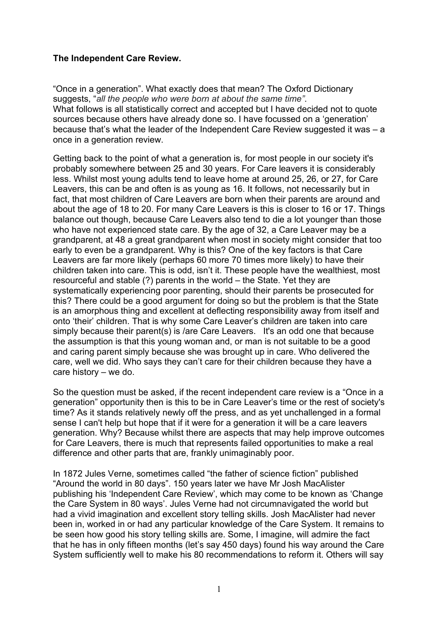### **The Independent Care Review.**

"Once in a generation". What exactly does that mean? The Oxford Dictionary suggests, "*all the people who were born at about the same time"*. What follows is all statistically correct and accepted but I have decided not to quote sources because others have already done so. I have focussed on a 'generation' because that's what the leader of the Independent Care Review suggested it was – a once in a generation review.

Getting back to the point of what a generation is, for most people in our society it's probably somewhere between 25 and 30 years. For Care leavers it is considerably less. Whilst most young adults tend to leave home at around 25, 26, or 27, for Care Leavers, this can be and often is as young as 16. It follows, not necessarily but in fact, that most children of Care Leavers are born when their parents are around and about the age of 18 to 20. For many Care Leavers is this is closer to 16 or 17. Things balance out though, because Care Leavers also tend to die a lot younger than those who have not experienced state care. By the age of 32, a Care Leaver may be a grandparent, at 48 a great grandparent when most in society might consider that too early to even be a grandparent. Why is this? One of the key factors is that Care Leavers are far more likely (perhaps 60 more 70 times more likely) to have their children taken into care. This is odd, isn't it. These people have the wealthiest, most resourceful and stable (?) parents in the world – the State. Yet they are systematically experiencing poor parenting, should their parents be prosecuted for this? There could be a good argument for doing so but the problem is that the State is an amorphous thing and excellent at deflecting responsibility away from itself and onto 'their' children. That is why some Care Leaver's children are taken into care simply because their parent(s) is /are Care Leavers. It's an odd one that because the assumption is that this young woman and, or man is not suitable to be a good and caring parent simply because she was brought up in care. Who delivered the care, well we did. Who says they can't care for their children because they have a care history – we do.

So the question must be asked, if the recent independent care review is a "Once in a generation" opportunity then is this to be in Care Leaver's time or the rest of society's time? As it stands relatively newly off the press, and as yet unchallenged in a formal sense I can't help but hope that if it were for a generation it will be a care leavers generation. Why? Because whilst there are aspects that may help improve outcomes for Care Leavers, there is much that represents failed opportunities to make a real difference and other parts that are, frankly unimaginably poor.

In 1872 Jules Verne, sometimes called "the father of science fiction" published "Around the world in 80 days". 150 years later we have Mr Josh MacAlister publishing his 'Independent Care Review', which may come to be known as 'Change the Care System in 80 ways'. Jules Verne had not circumnavigated the world but had a vivid imagination and excellent story telling skills. Josh MacAlister had never been in, worked in or had any particular knowledge of the Care System. It remains to be seen how good his story telling skills are. Some, I imagine, will admire the fact that he has in only fifteen months (let's say 450 days) found his way around the Care System sufficiently well to make his 80 recommendations to reform it. Others will say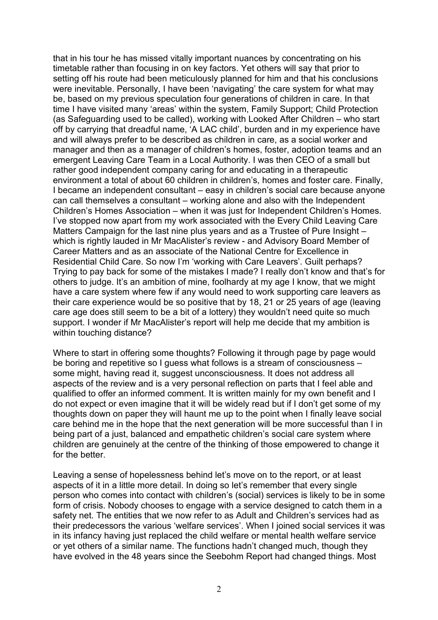that in his tour he has missed vitally important nuances by concentrating on his timetable rather than focusing in on key factors. Yet others will say that prior to setting off his route had been meticulously planned for him and that his conclusions were inevitable. Personally, I have been 'navigating' the care system for what may be, based on my previous speculation four generations of children in care. In that time I have visited many 'areas' within the system, Family Support; Child Protection (as Safeguarding used to be called), working with Looked After Children – who start off by carrying that dreadful name, 'A LAC child', burden and in my experience have and will always prefer to be described as children in care, as a social worker and manager and then as a manager of children's homes, foster, adoption teams and an emergent Leaving Care Team in a Local Authority. I was then CEO of a small but rather good independent company caring for and educating in a therapeutic environment a total of about 60 children in children's, homes and foster care. Finally, I became an independent consultant – easy in children's social care because anyone can call themselves a consultant – working alone and also with the Independent Children's Homes Association – when it was just for Independent Children's Homes. I've stopped now apart from my work associated with the Every Child Leaving Care Matters Campaign for the last nine plus years and as a Trustee of Pure Insight – which is rightly lauded in Mr MacAlister's review - and Advisory Board Member of Career Matters and as an associate of the National Centre for Excellence in Residential Child Care. So now I'm 'working with Care Leavers'. Guilt perhaps? Trying to pay back for some of the mistakes I made? I really don't know and that's for others to judge. It's an ambition of mine, foolhardy at my age I know, that we might have a care system where few if any would need to work supporting care leavers as their care experience would be so positive that by 18, 21 or 25 years of age (leaving care age does still seem to be a bit of a lottery) they wouldn't need quite so much support. I wonder if Mr MacAlister's report will help me decide that my ambition is within touching distance?

Where to start in offering some thoughts? Following it through page by page would be boring and repetitive so I guess what follows is a stream of consciousness – some might, having read it, suggest unconsciousness. It does not address all aspects of the review and is a very personal reflection on parts that I feel able and qualified to offer an informed comment. It is written mainly for my own benefit and I do not expect or even imagine that it will be widely read but if I don't get some of my thoughts down on paper they will haunt me up to the point when I finally leave social care behind me in the hope that the next generation will be more successful than I in being part of a just, balanced and empathetic children's social care system where children are genuinely at the centre of the thinking of those empowered to change it for the better.

Leaving a sense of hopelessness behind let's move on to the report, or at least aspects of it in a little more detail. In doing so let's remember that every single person who comes into contact with children's (social) services is likely to be in some form of crisis. Nobody chooses to engage with a service designed to catch them in a safety net. The entities that we now refer to as Adult and Children's services had as their predecessors the various 'welfare services'. When I joined social services it was in its infancy having just replaced the child welfare or mental health welfare service or yet others of a similar name. The functions hadn't changed much, though they have evolved in the 48 years since the Seebohm Report had changed things. Most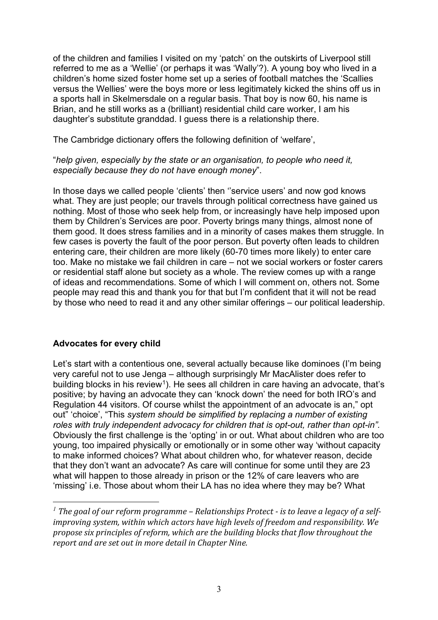of the children and families I visited on my 'patch' on the outskirts of Liverpool still referred to me as a 'Wellie' (or perhaps it was 'Wally'?). A young boy who lived in a children's home sized foster home set up a series of football matches the 'Scallies versus the Wellies' were the boys more or less legitimately kicked the shins off us in a sports hall in Skelmersdale on a regular basis. That boy is now 60, his name is Brian, and he still works as a (brilliant) residential child care worker, I am his daughter's substitute granddad. I guess there is a relationship there.

The Cambridge dictionary offers the following definition of 'welfare',

#### "*help given, especially by the state or an organisation, to people who need it, especially because they do not have enough money*".

In those days we called people 'clients' then ''service users' and now god knows what. They are just people; our travels through political correctness have gained us nothing. Most of those who seek help from, or increasingly have help imposed upon them by Children's Services are poor. Poverty brings many things, almost none of them good. It does stress families and in a minority of cases makes them struggle. In few cases is poverty the fault of the poor person. But poverty often leads to children entering care, their children are more likely (60-70 times more likely) to enter care too. Make no mistake we fail children in care – not we social workers or foster carers or residential staff alone but society as a whole. The review comes up with a range of ideas and recommendations. Some of which I will comment on, others not. Some people may read this and thank you for that but I'm confident that it will not be read by those who need to read it and any other similar offerings – our political leadership.

# **Advocates for every child**

Let's start with a contentious one, several actually because like dominoes (I'm being very careful not to use Jenga – although surprisingly Mr MacAlister does refer to building blocks in his review<sup>[1](#page-2-0)</sup>). He sees all children in care having an advocate, that's positive; by having an advocate they can 'knock down' the need for both IRO's and Regulation 44 visitors. Of course whilst the appointment of an advocate is an," opt out" 'choice', "This *system should be simplified by replacing a number of existing roles with truly independent advocacy for children that is opt-out, rather than opt-in".* Obviously the first challenge is the 'opting' in or out. What about children who are too young, too impaired physically or emotionally or in some other way 'without capacity to make informed choices? What about children who, for whatever reason, decide that they don't want an advocate? As care will continue for some until they are 23 what will happen to those already in prison or the 12% of care leavers who are 'missing' i.e. Those about whom their LA has no idea where they may be? What

<span id="page-2-0"></span>*<sup>1</sup> The goal of our reform programme – Relationships Protect - is to leave a legacy of a selfimproving system, within which actors have high levels of freedom and responsibility. We propose six principles of reform, which are the building blocks that flow throughout the report and are set out in more detail in Chapter Nine.*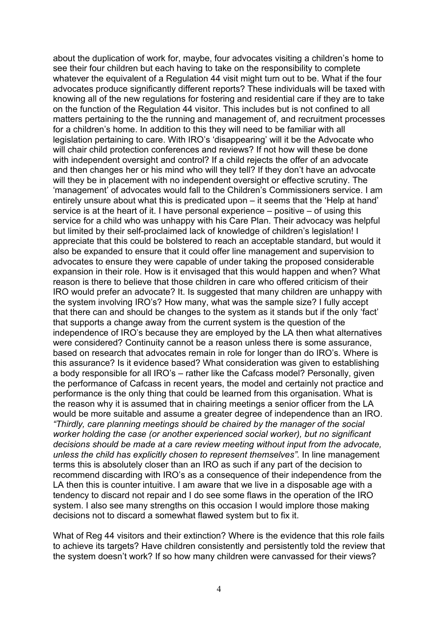about the duplication of work for, maybe, four advocates visiting a children's home to see their four children but each having to take on the responsibility to complete whatever the equivalent of a Regulation 44 visit might turn out to be. What if the four advocates produce significantly different reports? These individuals will be taxed with knowing all of the new regulations for fostering and residential care if they are to take on the function of the Regulation 44 visitor. This includes but is not confined to all matters pertaining to the the running and management of, and recruitment processes for a children's home. In addition to this they will need to be familiar with all legislation pertaining to care. With IRO's 'disappearing' will it be the Advocate who will chair child protection conferences and reviews? If not how will these be done with independent oversight and control? If a child rejects the offer of an advocate and then changes her or his mind who will they tell? If they don't have an advocate will they be in placement with no independent oversight or effective scrutiny. The 'management' of advocates would fall to the Children's Commissioners service. I am entirely unsure about what this is predicated upon – it seems that the 'Help at hand' service is at the heart of it. I have personal experience – positive – of using this service for a child who was unhappy with his Care Plan. Their advocacy was helpful but limited by their self-proclaimed lack of knowledge of children's legislation! I appreciate that this could be bolstered to reach an acceptable standard, but would it also be expanded to ensure that it could offer line management and supervision to advocates to ensure they were capable of under taking the proposed considerable expansion in their role. How is it envisaged that this would happen and when? What reason is there to believe that those children in care who offered criticism of their IRO would prefer an advocate? It. Is suggested that many children are unhappy with the system involving IRO's? How many, what was the sample size? I fully accept that there can and should be changes to the system as it stands but if the only 'fact' that supports a change away from the current system is the question of the independence of IRO's because they are employed by the LA then what alternatives were considered? Continuity cannot be a reason unless there is some assurance, based on research that advocates remain in role for longer than do IRO's. Where is this assurance? Is it evidence based? What consideration was given to establishing a body responsible for all IRO's – rather like the Cafcass model? Personally, given the performance of Cafcass in recent years, the model and certainly not practice and performance is the only thing that could be learned from this organisation. What is the reason why it is assumed that in chairing meetings a senior officer from the LA would be more suitable and assume a greater degree of independence than an IRO. *"Thirdly, care planning meetings should be chaired by the manager of the social worker holding the case (or another experienced social worker), but no significant decisions should be made at a care review meeting without input from the advocate, unless the child has explicitly chosen to represent themselves".* In line management terms this is absolutely closer than an IRO as such if any part of the decision to recommend discarding with IRO's as a consequence of their independence from the LA then this is counter intuitive. I am aware that we live in a disposable age with a tendency to discard not repair and I do see some flaws in the operation of the IRO system. I also see many strengths on this occasion I would implore those making decisions not to discard a somewhat flawed system but to fix it.

What of Reg 44 visitors and their extinction? Where is the evidence that this role fails to achieve its targets? Have children consistently and persistently told the review that the system doesn't work? If so how many children were canvassed for their views?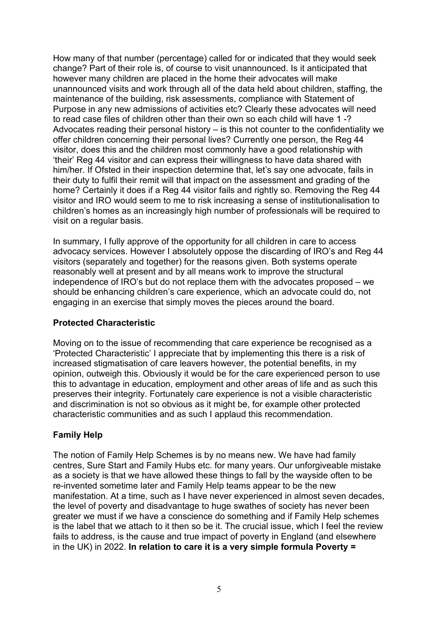How many of that number (percentage) called for or indicated that they would seek change? Part of their role is, of course to visit unannounced. Is it anticipated that however many children are placed in the home their advocates will make unannounced visits and work through all of the data held about children, staffing, the maintenance of the building, risk assessments, compliance with Statement of Purpose in any new admissions of activities etc? Clearly these advocates will need to read case files of children other than their own so each child will have 1 -? Advocates reading their personal history – is this not counter to the confidentiality we offer children concerning their personal lives? Currently one person, the Reg 44 visitor, does this and the children most commonly have a good relationship with 'their' Reg 44 visitor and can express their willingness to have data shared with him/her. If Ofsted in their inspection determine that, let's say one advocate, fails in their duty to fulfil their remit will that impact on the assessment and grading of the home? Certainly it does if a Reg 44 visitor fails and rightly so. Removing the Reg 44 visitor and IRO would seem to me to risk increasing a sense of institutionalisation to children's homes as an increasingly high number of professionals will be required to visit on a regular basis.

In summary, I fully approve of the opportunity for all children in care to access advocacy services. However I absolutely oppose the discarding of IRO's and Reg 44 visitors (separately and together) for the reasons given. Both systems operate reasonably well at present and by all means work to improve the structural independence of IRO's but do not replace them with the advocates proposed – we should be enhancing children's care experience, which an advocate could do, not engaging in an exercise that simply moves the pieces around the board.

#### **Protected Characteristic**

Moving on to the issue of recommending that care experience be recognised as a 'Protected Characteristic' I appreciate that by implementing this there is a risk of increased stigmatisation of care leavers however, the potential benefits, in my opinion, outweigh this. Obviously it would be for the care experienced person to use this to advantage in education, employment and other areas of life and as such this preserves their integrity. Fortunately care experience is not a visible characteristic and discrimination is not so obvious as it might be, for example other protected characteristic communities and as such I applaud this recommendation.

# **Family Help**

The notion of Family Help Schemes is by no means new. We have had family centres, Sure Start and Family Hubs etc. for many years. Our unforgiveable mistake as a society is that we have allowed these things to fall by the wayside often to be re-invented sometime later and Family Help teams appear to be the new manifestation. At a time, such as I have never experienced in almost seven decades, the level of poverty and disadvantage to huge swathes of society has never been greater we must if we have a conscience do something and if Family Help schemes is the label that we attach to it then so be it. The crucial issue, which I feel the review fails to address, is the cause and true impact of poverty in England (and elsewhere in the UK) in 2022. **In relation to care it is a very simple formula Poverty =**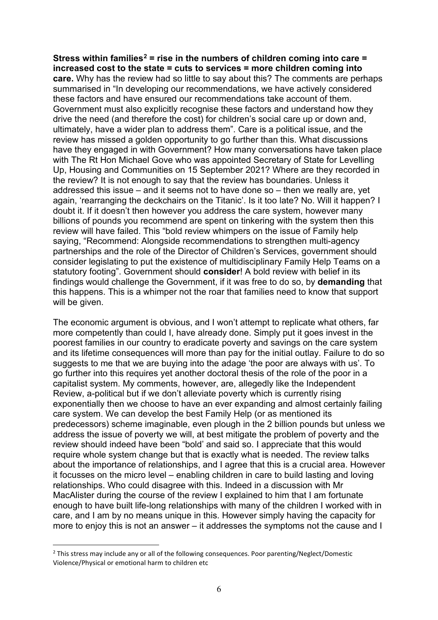**Stress within families[2](#page-5-0) = rise in the numbers of children coming into care = increased cost to the state = cuts to services = more children coming into care.** Why has the review had so little to say about this? The comments are perhaps summarised in "In developing our recommendations, we have actively considered these factors and have ensured our recommendations take account of them. Government must also explicitly recognise these factors and understand how they drive the need (and therefore the cost) for children's social care up or down and, ultimately, have a wider plan to address them". Care is a political issue, and the review has missed a golden opportunity to go further than this. What discussions have they engaged in with Government? How many conversations have taken place with The Rt Hon Michael Gove who was appointed Secretary of State for Levelling Up, Housing and Communities on 15 September 2021? Where are they recorded in the review? It is not enough to say that the review has boundaries. Unless it addressed this issue – and it seems not to have done so – then we really are, yet again, 'rearranging the deckchairs on the Titanic'. Is it too late? No. Will it happen? I doubt it. If it doesn't then however you address the care system, however many billions of pounds you recommend are spent on tinkering with the system then this review will have failed. This "bold review whimpers on the issue of Family help saying, "Recommend: Alongside recommendations to strengthen multi-agency partnerships and the role of the Director of Children's Services, government should consider legislating to put the existence of multidisciplinary Family Help Teams on a statutory footing". Government should **consider**! A bold review with belief in its findings would challenge the Government, if it was free to do so, by **demanding** that this happens. This is a whimper not the roar that families need to know that support will be given.

The economic argument is obvious, and I won't attempt to replicate what others, far more competently than could I, have already done. Simply put it goes invest in the poorest families in our country to eradicate poverty and savings on the care system and its lifetime consequences will more than pay for the initial outlay. Failure to do so suggests to me that we are buying into the adage 'the poor are always with us'. To go further into this requires yet another doctoral thesis of the role of the poor in a capitalist system. My comments, however, are, allegedly like the Independent Review, a-political but if we don't alleviate poverty which is currently rising exponentially then we choose to have an ever expanding and almost certainly failing care system. We can develop the best Family Help (or as mentioned its predecessors) scheme imaginable, even plough in the 2 billion pounds but unless we address the issue of poverty we will, at best mitigate the problem of poverty and the review should indeed have been "bold' and said so. I appreciate that this would require whole system change but that is exactly what is needed. The review talks about the importance of relationships, and I agree that this is a crucial area. However it focusses on the micro level – enabling children in care to build lasting and loving relationships. Who could disagree with this. Indeed in a discussion with Mr MacAlister during the course of the review I explained to him that I am fortunate enough to have built life-long relationships with many of the children I worked with in care, and I am by no means unique in this. However simply having the capacity for more to enjoy this is not an answer – it addresses the symptoms not the cause and I

<span id="page-5-0"></span><sup>&</sup>lt;sup>2</sup> This stress may include any or all of the following consequences. Poor parenting/Neglect/Domestic Violence/Physical or emotional harm to children etc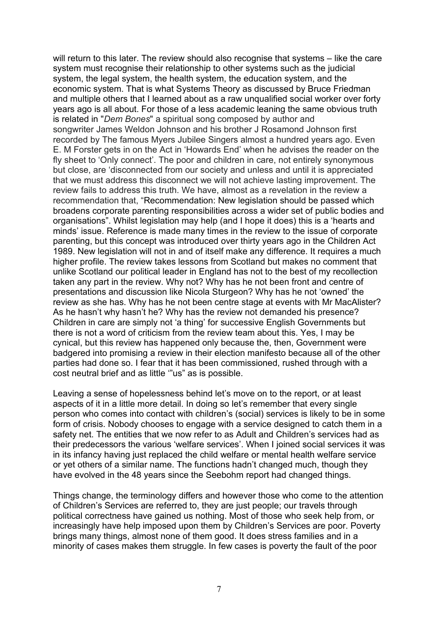will return to this later. The review should also recognise that systems – like the care system must recognise their relationship to other systems such as the judicial system, the legal system, the health system, the education system, and the economic system. That is what Systems Theory as discussed by Bruce Friedman and multiple others that I learned about as a raw unqualified social worker over forty years ago is all about. For those of a less academic leaning the same obvious truth is related in "*Dem Bones*" a spiritual song composed by author and songwriter James Weldon Johnson and his brother J Rosamond Johnson first recorded by The famous Myers Jubilee Singers almost a hundred years ago. Even E. M Forster gets in on the Act in 'Howards End' when he advises the reader on the fly sheet to 'Only connect'. The poor and children in care, not entirely synonymous but close, are 'disconnected from our society and unless and until it is appreciated that we must address this disconnect we will not achieve lasting improvement. The review fails to address this truth. We have, almost as a revelation in the review a recommendation that, "Recommendation: New legislation should be passed which broadens corporate parenting responsibilities across a wider set of public bodies and organisations". Whilst legislation may help (and I hope it does) this is a 'hearts and minds' issue. Reference is made many times in the review to the issue of corporate parenting, but this concept was introduced over thirty years ago in the Children Act 1989. New legislation will not in and of itself make any difference. It requires a much higher profile. The review takes lessons from Scotland but makes no comment that unlike Scotland our political leader in England has not to the best of my recollection taken any part in the review. Why not? Why has he not been front and centre of presentations and discussion like Nicola Sturgeon? Why has he not 'owned' the review as she has. Why has he not been centre stage at events with Mr MacAlister? As he hasn't why hasn't he? Why has the review not demanded his presence? Children in care are simply not 'a thing' for successive English Governments but there is not a word of criticism from the review team about this. Yes, I may be cynical, but this review has happened only because the, then, Government were badgered into promising a review in their election manifesto because all of the other parties had done so. I fear that it has been commissioned, rushed through with a cost neutral brief and as little '"us" as is possible.

Leaving a sense of hopelessness behind let's move on to the report, or at least aspects of it in a little more detail. In doing so let's remember that every single person who comes into contact with children's (social) services is likely to be in some form of crisis. Nobody chooses to engage with a service designed to catch them in a safety net. The entities that we now refer to as Adult and Children's services had as their predecessors the various 'welfare services'. When I joined social services it was in its infancy having just replaced the child welfare or mental health welfare service or yet others of a similar name. The functions hadn't changed much, though they have evolved in the 48 years since the Seebohm report had changed things.

Things change, the terminology differs and however those who come to the attention of Children's Services are referred to, they are just people; our travels through political correctness have gained us nothing. Most of those who seek help from, or increasingly have help imposed upon them by Children's Services are poor. Poverty brings many things, almost none of them good. It does stress families and in a minority of cases makes them struggle. In few cases is poverty the fault of the poor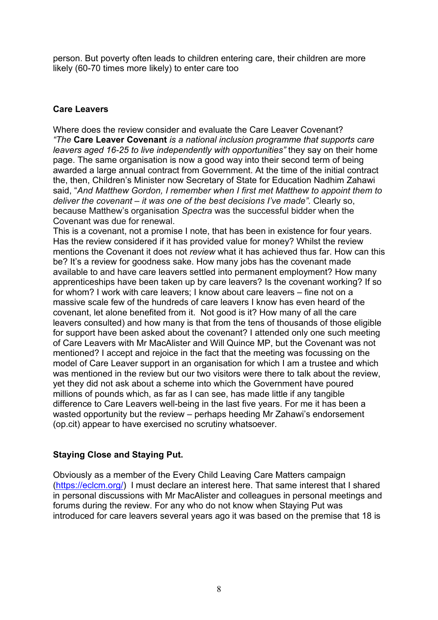person. But poverty often leads to children entering care, their children are more likely (60-70 times more likely) to enter care too

### **Care Leavers**

Where does the review consider and evaluate the Care Leaver Covenant? *"The* **Care Leaver Covenant** *is a national inclusion programme that supports care leavers aged 16-25 to live independently with opportunities"* they say on their home page. The same organisation is now a good way into their second term of being awarded a large annual contract from Government. At the time of the initial contract the, then, Children's Minister now Secretary of State for Education Nadhim Zahawi said, "*And Matthew Gordon, I remember when I first met Matthew to appoint them to deliver the covenant – it was one of the best decisions I've made".* Clearly so, because Matthew's organisation *Spectra* was the successful bidder when the Covenant was due for renewal.

This is a covenant, not a promise I note, that has been in existence for four years. Has the review considered if it has provided value for money? Whilst the review mentions the Covenant it does not *review* what it has achieved thus far. How can this be? It's a review for goodness sake. How many jobs has the covenant made available to and have care leavers settled into permanent employment? How many apprenticeships have been taken up by care leavers? Is the covenant working? If so for whom? I work with care leavers; I know about care leavers – fine not on a massive scale few of the hundreds of care leavers I know has even heard of the covenant, let alone benefited from it. Not good is it? How many of all the care leavers consulted) and how many is that from the tens of thousands of those eligible for support have been asked about the covenant? I attended only one such meeting of Care Leavers with Mr MacAlister and Will Quince MP, but the Covenant was not mentioned? I accept and rejoice in the fact that the meeting was focussing on the model of Care Leaver support in an organisation for which I am a trustee and which was mentioned in the review but our two visitors were there to talk about the review, yet they did not ask about a scheme into which the Government have poured millions of pounds which, as far as I can see, has made little if any tangible difference to Care Leavers well-being in the last five years. For me it has been a wasted opportunity but the review – perhaps heeding Mr Zahawi's endorsement (op.cit) appear to have exercised no scrutiny whatsoever.

# **Staying Close and Staying Put.**

Obviously as a member of the Every Child Leaving Care Matters campaign [\(https://eclcm.org/\)](https://eclcm.org/) I must declare an interest here. That same interest that I shared in personal discussions with Mr MacAlister and colleagues in personal meetings and forums during the review. For any who do not know when Staying Put was introduced for care leavers several years ago it was based on the premise that 18 is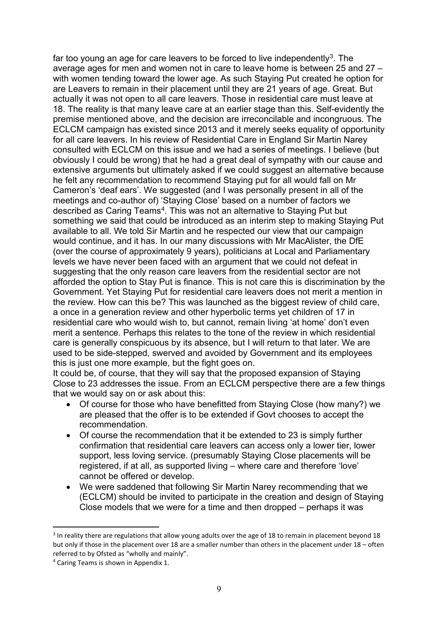far too young an age for care leavers to be forced to live independently<sup>3</sup>. The average ages for men and women not in care to leave home is between 25 and 27 – with women tending toward the lower age. As such Staying Put created he option for are Leavers to remain in their placement until they are 21 years of age. Great. But actually it was not open to all care leavers. Those in residential care must leave at 18. The reality is that many leave care at an earlier stage than this. Self-evidently the premise mentioned above, and the decision are irreconcilable and incongruous. The ECLCM campaign has existed since 2013 and it merely seeks equality of opportunity for all care leavers. In his review of Residential Care in England Sir Martin Narey consulted with ECLCM on this issue and we had a series of meetings. I believe (but obviously I could be wrong) that he had a great deal of sympathy with our cause and extensive arguments but ultimately asked if we could suggest an alternative because he felt any recommendation to recommend Staying put for all would fall on Mr Cameron's 'deaf ears'. We suggested (and I was personally present in all of the meetings and co-author of) 'Staying Close' based on a number of factors we described as Caring Teams<sup>4</sup>. This was not an alternative to Staying Put but something we said that could be introduced as an interim step to making Staying Put available to all. We told Sir Martin and he respected our view that our campaign would continue, and it has. In our many discussions with Mr MacAlister, the DfE (over the course of approximately 9 years), politicians at Local and Parliamentary levels we have never been faced with an argument that we could not defeat in suggesting that the only reason care leavers from the residential sector are not afforded the option to Stay Put is finance. This is not care this is discrimination by the Government. Yet Staying Put for residential care leavers does not merit a mention in the review. How can this be? This was launched as the biggest review of child care, a once in a generation review and other hyperbolic terms yet children of 17 in residential care who would wish to, but cannot, remain living 'at home' don't even merit a sentence. Perhaps this relates to the tone of the review in which residential care is generally conspicuous by its absence, but I will return to that later. We are used to be side-stepped, swerved and avoided by Government and its employees this is just one more example, but the fight goes on.

It could be, of course, that they will say that the proposed expansion of Staying Close to 23 addresses the issue. From an ECLCM perspective there are a few things that we would say on or ask about this:

- Of course for those who have benefitted from Staying Close (how many?) we are pleased that the offer is to be extended if Govt chooses to accept the recommendation.
- Of course the recommendation that it be extended to 23 is simply further confirmation that residential care leavers can access only a lower tier, lower support, less loving service. (presumably Staying Close placements will be registered, if at all, as supported living – where care and therefore 'love' cannot be offered or develop.
- We were saddened that following Sir Martin Narey recommending that we (ECLCM) should be invited to participate in the creation and design of Staying Close models that we were for a time and then dropped – perhaps it was

<span id="page-8-0"></span><sup>&</sup>lt;sup>3</sup> In reality there are regulations that allow young adults over the age of 18 to remain in placement beyond 18 but only if those in the placement over 18 are a smaller number than others in the placement under 18 – often referred to by Ofsted as "wholly and mainly".

<span id="page-8-1"></span><sup>4</sup> Caring Teams is shown in Appendix 1.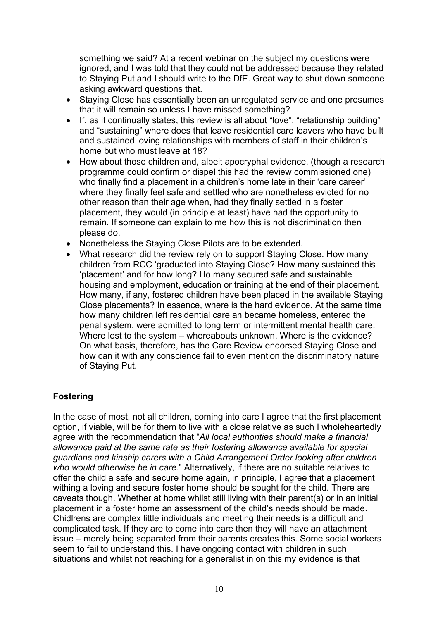something we said? At a recent webinar on the subject my questions were ignored, and I was told that they could not be addressed because they related to Staying Put and I should write to the DfE. Great way to shut down someone asking awkward questions that.

- Staying Close has essentially been an unregulated service and one presumes that it will remain so unless I have missed something?
- If, as it continually states, this review is all about "love", "relationship building" and "sustaining" where does that leave residential care leavers who have built and sustained loving relationships with members of staff in their children's home but who must leave at 18?
- How about those children and, albeit apocryphal evidence, (though a research programme could confirm or dispel this had the review commissioned one) who finally find a placement in a children's home late in their 'care career' where they finally feel safe and settled who are nonetheless evicted for no other reason than their age when, had they finally settled in a foster placement, they would (in principle at least) have had the opportunity to remain. If someone can explain to me how this is not discrimination then please do.
- Nonetheless the Staying Close Pilots are to be extended.
- What research did the review rely on to support Staying Close. How many children from RCC 'graduated into Staying Close? How many sustained this 'placement' and for how long? Ho many secured safe and sustainable housing and employment, education or training at the end of their placement. How many, if any, fostered children have been placed in the available Staying Close placements? In essence, where is the hard evidence. At the same time how many children left residential care an became homeless, entered the penal system, were admitted to long term or intermittent mental health care. Where lost to the system – whereabouts unknown. Where is the evidence? On what basis, therefore, has the Care Review endorsed Staying Close and how can it with any conscience fail to even mention the discriminatory nature of Staying Put.

# **Fostering**

In the case of most, not all children, coming into care I agree that the first placement option, if viable, will be for them to live with a close relative as such I wholeheartedly agree with the recommendation that "*All local authorities should make a financial allowance paid at the same rate as their fostering allowance available for special guardians and kinship carers with a Child Arrangement Order looking after children who would otherwise be in care.*" Alternatively, if there are no suitable relatives to offer the child a safe and secure home again, in principle, I agree that a placement withing a loving and secure foster home should be sought for the child. There are caveats though. Whether at home whilst still living with their parent(s) or in an initial placement in a foster home an assessment of the child's needs should be made. Chidlrens are complex little individuals and meeting their needs is a difficult and complicated task. If they are to come into care then they will have an attachment issue – merely being separated from their parents creates this. Some social workers seem to fail to understand this. I have ongoing contact with children in such situations and whilst not reaching for a generalist in on this my evidence is that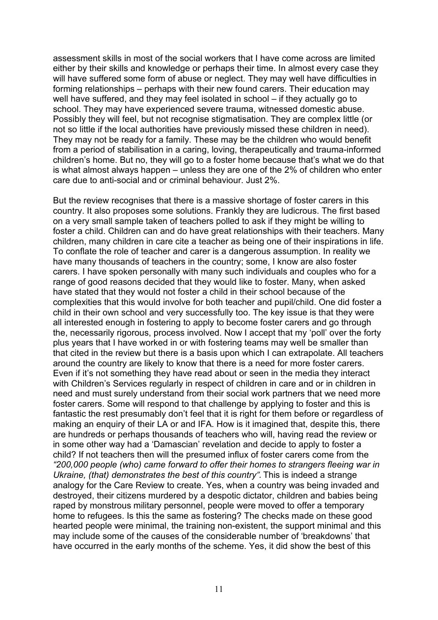assessment skills in most of the social workers that I have come across are limited either by their skills and knowledge or perhaps their time. In almost every case they will have suffered some form of abuse or neglect. They may well have difficulties in forming relationships – perhaps with their new found carers. Their education may well have suffered, and they may feel isolated in school – if they actually go to school. They may have experienced severe trauma, witnessed domestic abuse. Possibly they will feel, but not recognise stigmatisation. They are complex little (or not so little if the local authorities have previously missed these children in need). They may not be ready for a family. These may be the children who would benefit from a period of stabilisation in a caring, loving, therapeutically and trauma-informed children's home. But no, they will go to a foster home because that's what we do that is what almost always happen – unless they are one of the 2% of children who enter care due to anti-social and or criminal behaviour. Just 2%.

But the review recognises that there is a massive shortage of foster carers in this country. It also proposes some solutions. Frankly they are ludicrous. The first based on a very small sample taken of teachers polled to ask if they might be willing to foster a child. Children can and do have great relationships with their teachers. Many children, many children in care cite a teacher as being one of their inspirations in life. To conflate the role of teacher and carer is a dangerous assumption. In reality we have many thousands of teachers in the country; some, I know are also foster carers. I have spoken personally with many such individuals and couples who for a range of good reasons decided that they would like to foster. Many, when asked have stated that they would not foster a child in their school because of the complexities that this would involve for both teacher and pupil/child. One did foster a child in their own school and very successfully too. The key issue is that they were all interested enough in fostering to apply to become foster carers and go through the, necessarily rigorous, process involved. Now I accept that my 'poll' over the forty plus years that I have worked in or with fostering teams may well be smaller than that cited in the review but there is a basis upon which I can extrapolate. All teachers around the country are likely to know that there is a need for more foster carers. Even if it's not something they have read about or seen in the media they interact with Children's Services regularly in respect of children in care and or in children in need and must surely understand from their social work partners that we need more foster carers. Some will respond to that challenge by applying to foster and this is fantastic the rest presumably don't feel that it is right for them before or regardless of making an enquiry of their LA or and IFA. How is it imagined that, despite this, there are hundreds or perhaps thousands of teachers who will, having read the review or in some other way had a 'Damascian' revelation and decide to apply to foster a child? If not teachers then will the presumed influx of foster carers come from the *"200,000 people (who) came forward to offer their homes to strangers fleeing war in Ukraine, (that) demonstrates the best of this country".* This is indeed a strange analogy for the Care Review to create. Yes, when a country was being invaded and destroyed, their citizens murdered by a despotic dictator, children and babies being raped by monstrous military personnel, people were moved to offer a temporary home to refugees. Is this the same as fostering? The checks made on these good hearted people were minimal, the training non-existent, the support minimal and this may include some of the causes of the considerable number of 'breakdowns' that have occurred in the early months of the scheme. Yes, it did show the best of this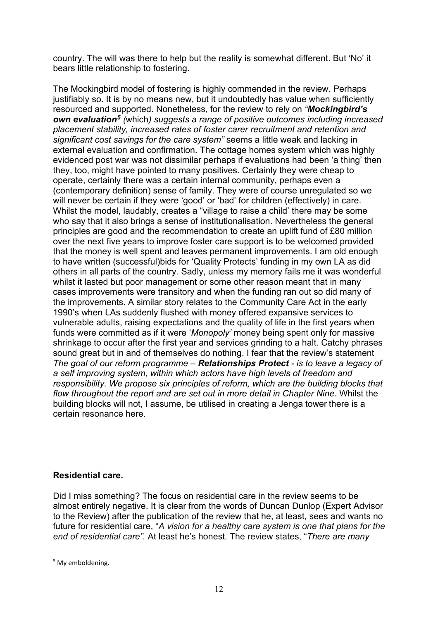country. The will was there to help but the reality is somewhat different. But 'No' it bears little relationship to fostering.

The Mockingbird model of fostering is highly commended in the review. Perhaps justifiably so. It is by no means new, but it undoubtedly has value when sufficiently resourced and supported. Nonetheless, for the review to rely on *"Mockingbird's own evaluation[5](#page-11-0) (*which*) suggests a range of positive outcomes including increased placement stability, increased rates of foster carer recruitment and retention and significant cost savings for the care system"* seems a little weak and lacking in external evaluation and confirmation. The cottage homes system which was highly evidenced post war was not dissimilar perhaps if evaluations had been 'a thing' then they, too, might have pointed to many positives. Certainly they were cheap to operate, certainly there was a certain internal community, perhaps even a (contemporary definition) sense of family. They were of course unregulated so we will never be certain if they were 'good' or 'bad' for children (effectively) in care. Whilst the model, laudably, creates a "village to raise a child' there may be some who say that it also brings a sense of institutionalisation. Nevertheless the general principles are good and the recommendation to create an uplift fund of £80 million over the next five years to improve foster care support is to be welcomed provided that the money is well spent and leaves permanent improvements. I am old enough to have written (successful)bids for 'Quality Protects' funding in my own LA as did others in all parts of the country. Sadly, unless my memory fails me it was wonderful whilst it lasted but poor management or some other reason meant that in many cases improvements were transitory and when the funding ran out so did many of the improvements. A similar story relates to the Community Care Act in the early 1990's when LAs suddenly flushed with money offered expansive services to vulnerable adults, raising expectations and the quality of life in the first years when funds were committed as if it were '*Monopoly'* money being spent only for massive shrinkage to occur after the first year and services grinding to a halt. Catchy phrases sound great but in and of themselves do nothing. I fear that the review's statement *The goal of our reform programme – Relationships Protect - is to leave a legacy of a self improving system, within which actors have high levels of freedom and responsibility. We propose six principles of reform, which are the building blocks that flow throughout the report and are set out in more detail in Chapter Nine.* Whilst the building blocks will not, I assume, be utilised in creating a Jenga tower there is a certain resonance here.

# **Residential care.**

Did I miss something? The focus on residential care in the review seems to be almost entirely negative. It is clear from the words of Duncan Dunlop (Expert Advisor to the Review) after the publication of the review that he, at least, sees and wants no future for residential care, "*A vision for a healthy care system is one that plans for the end of residential care".* At least he's honest. The review states, "*There are many* 

<span id="page-11-0"></span><sup>&</sup>lt;sup>5</sup> My emboldening.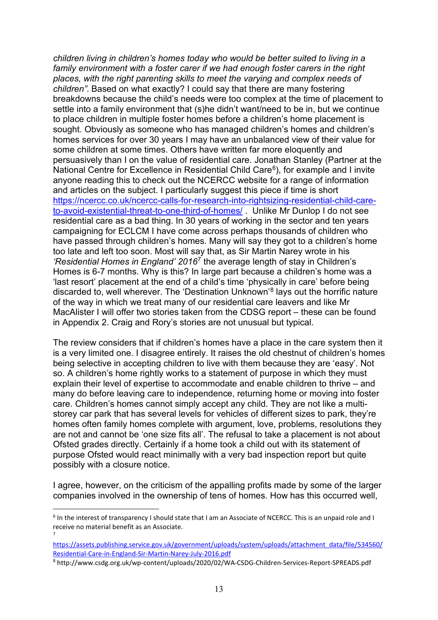*children living in children's homes today who would be better suited to living in a family environment with a foster carer if we had enough foster carers in the right places, with the right parenting skills to meet the varying and complex needs of children".* Based on what exactly? I could say that there are many fostering breakdowns because the child's needs were too complex at the time of placement to settle into a family environment that (s)he didn't want/need to be in, but we continue to place children in multiple foster homes before a children's home placement is sought. Obviously as someone who has managed children's homes and children's homes services for over 30 years I may have an unbalanced view of their value for some children at some times. Others have written far more eloquently and persuasively than I on the value of residential care. Jonathan Stanley (Partner at the National Centre for Excellence in Residential Child Care<sup>6</sup>), for example and I invite anyone reading this to check out the NCERCC website for a range of information and articles on the subject. I particularly suggest this piece if time is short [https://ncercc.co.uk/ncercc-calls-for-research-into-rightsizing-residential-child-care](https://ncercc.co.uk/ncercc-calls-for-research-into-rightsizing-residential-child-care-to-avoid-existential-threat-to-one-third-of-homes/)[to-avoid-existential-threat-to-one-third-of-homes/](https://ncercc.co.uk/ncercc-calls-for-research-into-rightsizing-residential-child-care-to-avoid-existential-threat-to-one-third-of-homes/) . Unlike Mr Dunlop I do not see residential care as a bad thing. In 30 years of working in the sector and ten years campaigning for ECLCM I have come across perhaps thousands of children who have passed through children's homes. Many will say they got to a children's home too late and left too soon. Most will say that, as Sir Martin Narey wrote in his *'Residential Homes in England' 2016*[7](#page-12-1) the average length of stay in Children's Homes is 6-7 months. Why is this? In large part because a children's home was a 'last resort' placement at the end of a child's time 'physically in care' before being discarded to, well wherever. The 'Destination Unknown'[8](#page-12-2) lays out the horrific nature of the way in which we treat many of our residential care leavers and like Mr MacAlister I will offer two stories taken from the CDSG report – these can be found in Appendix 2. Craig and Rory's stories are not unusual but typical.

The review considers that if children's homes have a place in the care system then it is a very limited one. I disagree entirely. It raises the old chestnut of children's homes being selective in accepting children to live with them because they are 'easy'. Not so. A children's home rightly works to a statement of purpose in which they must explain their level of expertise to accommodate and enable children to thrive – and many do before leaving care to independence, returning home or moving into foster care. Children's homes cannot simply accept any child. They are not like a multistorey car park that has several levels for vehicles of different sizes to park, they're homes often family homes complete with argument, love, problems, resolutions they are not and cannot be 'one size fits all'. The refusal to take a placement is not about Ofsted grades directly. Certainly if a home took a child out with its statement of purpose Ofsted would react minimally with a very bad inspection report but quite possibly with a closure notice.

I agree, however, on the criticism of the appalling profits made by some of the larger companies involved in the ownership of tens of homes. How has this occurred well,

7

<span id="page-12-2"></span>8 http://www.csdg.org.uk/wp-content/uploads/2020/02/WA-CSDG-Children-Services-Report-SPREADS.pdf

<span id="page-12-0"></span><sup>6</sup> In the interest of transparency I should state that I am an Associate of NCERCC. This is an unpaid role and I receive no material benefit as an Associate.

<span id="page-12-1"></span>[https://assets.publishing.service.gov.uk/government/uploads/system/uploads/attachment\\_data/file/534560/](https://assets.publishing.service.gov.uk/government/uploads/system/uploads/attachment_data/file/534560/Residential-Care-in-England-Sir-Martin-Narey-July-2016.pdf)<br>Residential-Care-in-England-Sir-Martin-Narey-July-2016.pdf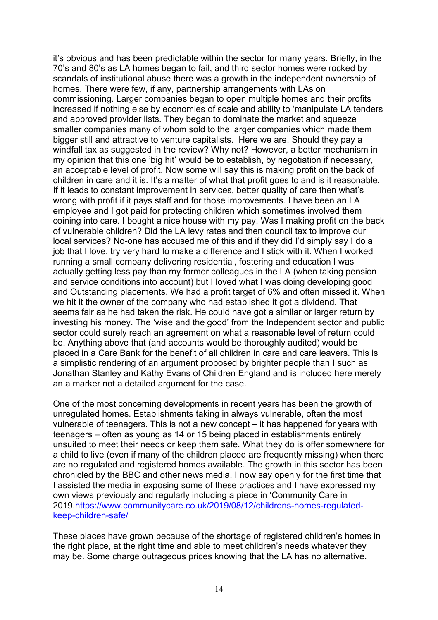it's obvious and has been predictable within the sector for many years. Briefly, in the 70's and 80's as LA homes began to fail, and third sector homes were rocked by scandals of institutional abuse there was a growth in the independent ownership of homes. There were few, if any, partnership arrangements with LAs on commissioning. Larger companies began to open multiple homes and their profits increased if nothing else by economies of scale and ability to 'manipulate LA tenders and approved provider lists. They began to dominate the market and squeeze smaller companies many of whom sold to the larger companies which made them bigger still and attractive to venture capitalists. Here we are. Should they pay a windfall tax as suggested in the review? Why not? However, a better mechanism in my opinion that this one 'big hit' would be to establish, by negotiation if necessary, an acceptable level of profit. Now some will say this is making profit on the back of children in care and it is. It's a matter of what that profit goes to and is it reasonable. If it leads to constant improvement in services, better quality of care then what's wrong with profit if it pays staff and for those improvements. I have been an LA employee and I got paid for protecting children which sometimes involved them coining into care. I bought a nice house with my pay. Was I making profit on the back of vulnerable children? Did the LA levy rates and then council tax to improve our local services? No-one has accused me of this and if they did I'd simply say I do a job that I love, try very hard to make a difference and I stick with it. When I worked running a small company delivering residential, fostering and education I was actually getting less pay than my former colleagues in the LA (when taking pension and service conditions into account) but I loved what I was doing developing good and Outstanding placements. We had a profit target of 6% and often missed it. When we hit it the owner of the company who had established it got a dividend. That seems fair as he had taken the risk. He could have got a similar or larger return by investing his money. The 'wise and the good' from the Independent sector and public sector could surely reach an agreement on what a reasonable level of return could be. Anything above that (and accounts would be thoroughly audited) would be placed in a Care Bank for the benefit of all children in care and care leavers. This is a simplistic rendering of an argument proposed by brighter people than I such as Jonathan Stanley and Kathy Evans of Children England and is included here merely an a marker not a detailed argument for the case.

One of the most concerning developments in recent years has been the growth of unregulated homes. Establishments taking in always vulnerable, often the most vulnerable of teenagers. This is not a new concept – it has happened for years with teenagers – often as young as 14 or 15 being placed in establishments entirely unsuited to meet their needs or keep them safe. What they do is offer somewhere for a child to live (even if many of the children placed are frequently missing) when there are no regulated and registered homes available. The growth in this sector has been chronicled by the BBC and other news media. I now say openly for the first time that I assisted the media in exposing some of these practices and I have expressed my own views previously and regularly including a piece in 'Community Care in 2019[.https://www.communitycare.co.uk/2019/08/12/childrens-homes-regulated](https://www.communitycare.co.uk/2019/08/12/childrens-homes-regulated-keep-children-safe/)[keep-children-safe/](https://www.communitycare.co.uk/2019/08/12/childrens-homes-regulated-keep-children-safe/) 

These places have grown because of the shortage of registered children's homes in the right place, at the right time and able to meet children's needs whatever they may be. Some charge outrageous prices knowing that the LA has no alternative.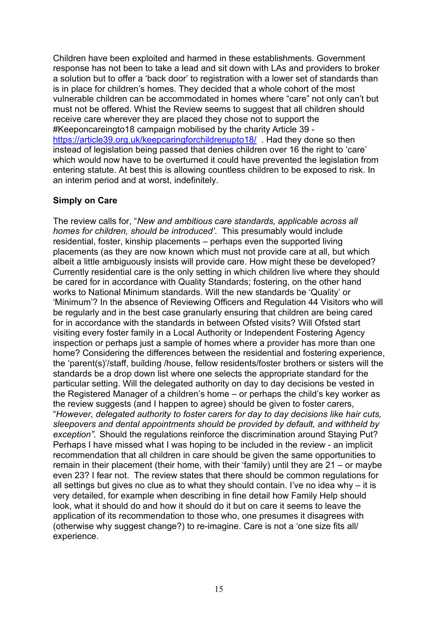Children have been exploited and harmed in these establishments. Government response has not been to take a lead and sit down with LAs and providers to broker a solution but to offer a 'back door' to registration with a lower set of standards than is in place for children's homes. They decided that a whole cohort of the most vulnerable children can be accommodated in homes where "care" not only can't but must not be offered. Whist the Review seems to suggest that all children should receive care wherever they are placed they chose not to support the #Keeponcareingto18 campaign mobilised by the charity Article 39 <https://article39.org.uk/keepcaringforchildrenupto18/>. Had they done so then instead of legislation being passed that denies children over 16 the right to 'care' which would now have to be overturned it could have prevented the legislation from entering statute. At best this is allowing countless children to be exposed to risk. In an interim period and at worst, indefinitely.

### **Simply on Care**

The review calls for, "*New and ambitious care standards, applicable across all homes for children, should be introduced'*. This presumably would include residential, foster, kinship placements – perhaps even the supported living placements (as they are now known which must not provide care at all, but which albeit a little ambiguously insists will provide care. How might these be developed? Currently residential care is the only setting in which children live where they should be cared for in accordance with Quality Standards; fostering, on the other hand works to National Minimum standards. Will the new standards be 'Quality' or 'Minimum'? In the absence of Reviewing Officers and Regulation 44 Visitors who will be regularly and in the best case granularly ensuring that children are being cared for in accordance with the standards in between Ofsted visits? Will Ofsted start visiting every foster family in a Local Authority or Independent Fostering Agency inspection or perhaps just a sample of homes where a provider has more than one home? Considering the differences between the residential and fostering experience, the 'parent(s)'/staff, building /house, fellow residents/foster brothers or sisters will the standards be a drop down list where one selects the appropriate standard for the particular setting. Will the delegated authority on day to day decisions be vested in the Registered Manager of a children's home – or perhaps the child's key worker as the review suggests (and I happen to agree) should be given to foster carers, "*However, delegated authority to foster carers for day to day decisions like hair cuts, sleepovers and dental appointments should be provided by default, and withheld by exception"*. Should the regulations reinforce the discrimination around Staying Put? Perhaps I have missed what I was hoping to be included in the review - an implicit recommendation that all children in care should be given the same opportunities to remain in their placement (their home, with their 'family) until they are 21 – or maybe even 23? I fear not. The review states that there should be common regulations for all settings but gives no clue as to what they should contain. I've no idea why – it is very detailed, for example when describing in fine detail how Family Help should look, what it should do and how it should do it but on care it seems to leave the application of its recommendation to those who, one presumes it disagrees with (otherwise why suggest change?) to re-imagine. Care is not a 'one size fits all/ experience.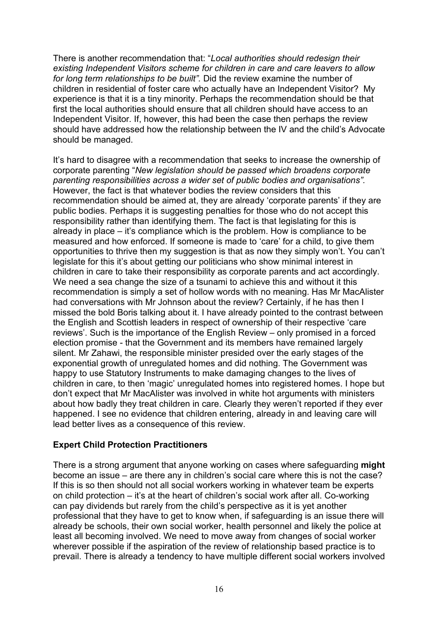There is another recommendation that: "*Local authorities should redesign their existing Independent Visitors scheme for children in care and care leavers to allow for long term relationships to be built".* Did the review examine the number of children in residential of foster care who actually have an Independent Visitor? My experience is that it is a tiny minority. Perhaps the recommendation should be that first the local authorities should ensure that all children should have access to an Independent Visitor*.* If, however, this had been the case then perhaps the review should have addressed how the relationship between the IV and the child's Advocate should be managed.

It's hard to disagree with a recommendation that seeks to increase the ownership of corporate parenting "*New legislation should be passed which broadens corporate parenting responsibilities across a wider set of public bodies and organisations".* However, the fact is that whatever bodies the review considers that this recommendation should be aimed at, they are already 'corporate parents' if they are public bodies. Perhaps it is suggesting penalties for those who do not accept this responsibility rather than identifying them. The fact is that legislating for this is already in place – it's compliance which is the problem. How is compliance to be measured and how enforced. If someone is made to 'care' for a child, to give them opportunities to thrive then my suggestion is that as now they simply won't. You can't legislate for this it's about getting our politicians who show minimal interest in children in care to take their responsibility as corporate parents and act accordingly. We need a sea change the size of a tsunami to achieve this and without it this recommendation is simply a set of hollow words with no meaning. Has Mr MacAlister had conversations with Mr Johnson about the review? Certainly, if he has then I missed the bold Boris talking about it. I have already pointed to the contrast between the English and Scottish leaders in respect of ownership of their respective 'care reviews'. Such is the importance of the English Review – only promised in a forced election promise - that the Government and its members have remained largely silent. Mr Zahawi, the responsible minister presided over the early stages of the exponential growth of unregulated homes and did nothing. The Government was happy to use Statutory Instruments to make damaging changes to the lives of children in care, to then 'magic' unregulated homes into registered homes. I hope but don't expect that Mr MacAlister was involved in white hot arguments with ministers about how badly they treat children in care. Clearly they weren't reported if they ever happened. I see no evidence that children entering, already in and leaving care will lead better lives as a consequence of this review.

# **Expert Child Protection Practitioners**

There is a strong argument that anyone working on cases where safeguarding **might** become an issue – are there any in children's social care where this is not the case? If this is so then should not all social workers working in whatever team be experts on child protection – it's at the heart of children's social work after all. Co-working can pay dividends but rarely from the child's perspective as it is yet another professional that they have to get to know when, if safeguarding is an issue there will already be schools, their own social worker, health personnel and likely the police at least all becoming involved. We need to move away from changes of social worker wherever possible if the aspiration of the review of relationship based practice is to prevail. There is already a tendency to have multiple different social workers involved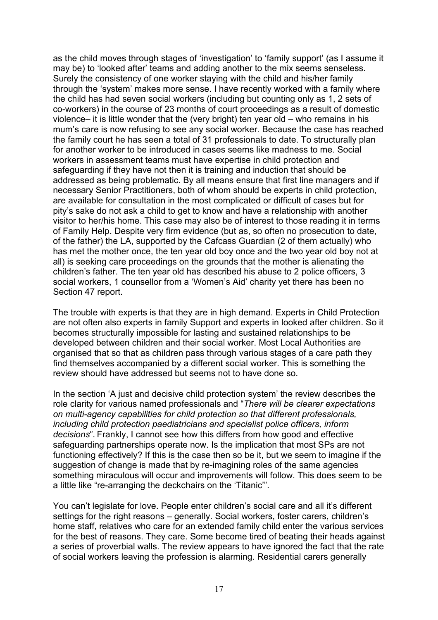as the child moves through stages of 'investigation' to 'family support' (as I assume it may be) to 'looked after' teams and adding another to the mix seems senseless. Surely the consistency of one worker staying with the child and his/her family through the 'system' makes more sense. I have recently worked with a family where the child has had seven social workers (including but counting only as 1, 2 sets of co-workers) in the course of 23 months of court proceedings as a result of domestic violence– it is little wonder that the (very bright) ten year old – who remains in his mum's care is now refusing to see any social worker. Because the case has reached the family court he has seen a total of 31 professionals to date. To structurally plan for another worker to be introduced in cases seems like madness to me. Social workers in assessment teams must have expertise in child protection and safeguarding if they have not then it is training and induction that should be addressed as being problematic. By all means ensure that first line managers and if necessary Senior Practitioners, both of whom should be experts in child protection, are available for consultation in the most complicated or difficult of cases but for pity's sake do not ask a child to get to know and have a relationship with another visitor to her/his home. This case may also be of interest to those reading it in terms of Family Help. Despite very firm evidence (but as, so often no prosecution to date, of the father) the LA, supported by the Cafcass Guardian (2 of them actually) who has met the mother once, the ten year old boy once and the two year old boy not at all) is seeking care proceedings on the grounds that the mother is alienating the children's father. The ten year old has described his abuse to 2 police officers, 3 social workers, 1 counsellor from a 'Women's Aid' charity yet there has been no Section 47 report.

The trouble with experts is that they are in high demand. Experts in Child Protection are not often also experts in family Support and experts in looked after children. So it becomes structurally impossible for lasting and sustained relationships to be developed between children and their social worker. Most Local Authorities are organised that so that as children pass through various stages of a care path they find themselves accompanied by a different social worker. This is something the review should have addressed but seems not to have done so.

In the section 'A just and decisive child protection system' the review describes the role clarity for various named professionals and "*There will be clearer expectations on multi-agency capabilities for child protection so that different professionals, including child protection paediatricians and specialist police officers, inform decisions*". Frankly, I cannot see how this differs from how good and effective safeguarding partnerships operate now. Is the implication that most SPs are not functioning effectively? If this is the case then so be it, but we seem to imagine if the suggestion of change is made that by re-imagining roles of the same agencies something miraculous will occur and improvements will follow. This does seem to be a little like "re-arranging the deckchairs on the 'Titanic'".

You can't legislate for love. People enter children's social care and all it's different settings for the right reasons – generally. Social workers, foster carers, children's home staff, relatives who care for an extended family child enter the various services for the best of reasons. They care. Some become tired of beating their heads against a series of proverbial walls. The review appears to have ignored the fact that the rate of social workers leaving the profession is alarming. Residential carers generally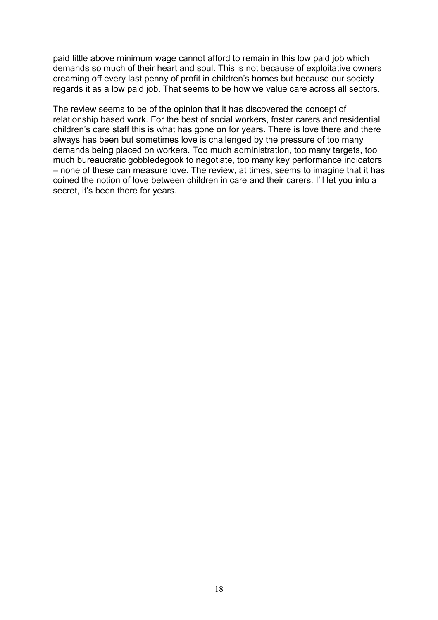paid little above minimum wage cannot afford to remain in this low paid job which demands so much of their heart and soul. This is not because of exploitative owners creaming off every last penny of profit in children's homes but because our society regards it as a low paid job. That seems to be how we value care across all sectors.

The review seems to be of the opinion that it has discovered the concept of relationship based work. For the best of social workers, foster carers and residential children's care staff this is what has gone on for years. There is love there and there always has been but sometimes love is challenged by the pressure of too many demands being placed on workers. Too much administration, too many targets, too much bureaucratic gobbledegook to negotiate, too many key performance indicators – none of these can measure love. The review, at times, seems to imagine that it has coined the notion of love between children in care and their carers. I'll let you into a secret, it's been there for years.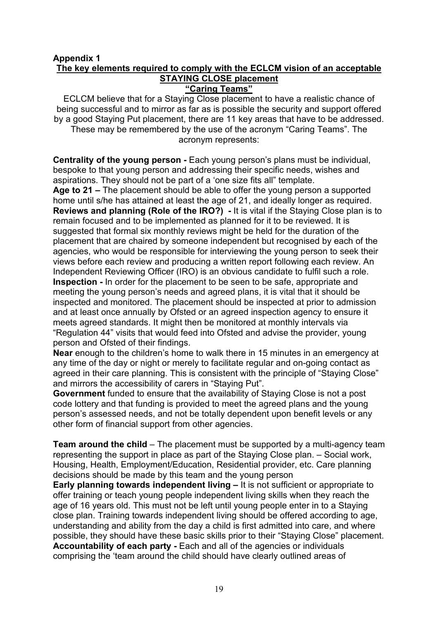# **Appendix 1 The key elements required to comply with the ECLCM vision of an acceptable STAYING CLOSE placement**

**"Caring Teams"**

ECLCM believe that for a Staying Close placement to have a realistic chance of being successful and to mirror as far as is possible the security and support offered by a good Staying Put placement, there are 11 key areas that have to be addressed. These may be remembered by the use of the acronym "Caring Teams". The acronym represents:

**Centrality of the young person -** Each young person's plans must be individual, bespoke to that young person and addressing their specific needs, wishes and aspirations. They should not be part of a 'one size fits all" template.

**Age to 21 –** The placement should be able to offer the young person a supported home until s/he has attained at least the age of 21, and ideally longer as required. **Reviews and planning (Role of the IRO?) -** It is vital if the Staying Close plan is to remain focused and to be implemented as planned for it to be reviewed. It is suggested that formal six monthly reviews might be held for the duration of the placement that are chaired by someone independent but recognised by each of the agencies, who would be responsible for interviewing the young person to seek their views before each review and producing a written report following each review. An Independent Reviewing Officer (IRO) is an obvious candidate to fulfil such a role. **Inspection -** In order for the placement to be seen to be safe, appropriate and meeting the young person's needs and agreed plans, it is vital that it should be inspected and monitored. The placement should be inspected at prior to admission and at least once annually by Ofsted or an agreed inspection agency to ensure it meets agreed standards. It might then be monitored at monthly intervals via "Regulation 44" visits that would feed into Ofsted and advise the provider, young person and Ofsted of their findings.

**Near** enough to the children's home to walk there in 15 minutes in an emergency at any time of the day or night or merely to facilitate regular and on-going contact as agreed in their care planning. This is consistent with the principle of "Staying Close" and mirrors the accessibility of carers in "Staying Put".

**Government** funded to ensure that the availability of Staying Close is not a post code lottery and that funding is provided to meet the agreed plans and the young person's assessed needs, and not be totally dependent upon benefit levels or any other form of financial support from other agencies.

**Team around the child** – The placement must be supported by a multi-agency team representing the support in place as part of the Staying Close plan. – Social work, Housing, Health, Employment/Education, Residential provider, etc. Care planning decisions should be made by this team and the young person

**Early planning towards independent living –** It is not sufficient or appropriate to offer training or teach young people independent living skills when they reach the age of 16 years old. This must not be left until young people enter in to a Staying close plan. Training towards independent living should be offered according to age, understanding and ability from the day a child is first admitted into care, and where possible, they should have these basic skills prior to their "Staying Close" placement. **Accountability of each party -** Each and all of the agencies or individuals comprising the 'team around the child should have clearly outlined areas of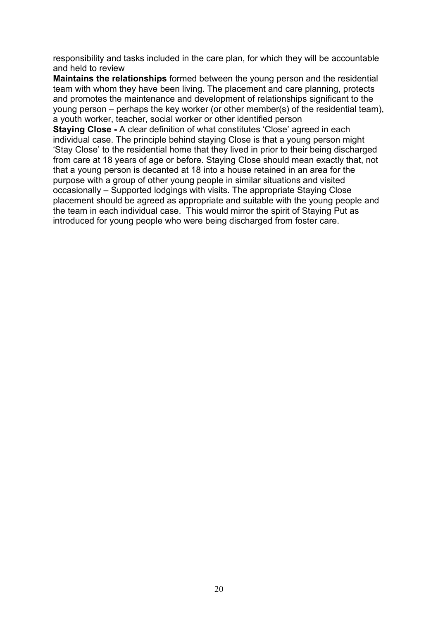responsibility and tasks included in the care plan, for which they will be accountable and held to review

**Maintains the relationships** formed between the young person and the residential team with whom they have been living. The placement and care planning, protects and promotes the maintenance and development of relationships significant to the young person – perhaps the key worker (or other member(s) of the residential team), a youth worker, teacher, social worker or other identified person

**Staying Close -** A clear definition of what constitutes 'Close' agreed in each individual case. The principle behind staying Close is that a young person might 'Stay Close' to the residential home that they lived in prior to their being discharged from care at 18 years of age or before. Staying Close should mean exactly that, not that a young person is decanted at 18 into a house retained in an area for the purpose with a group of other young people in similar situations and visited occasionally – Supported lodgings with visits. The appropriate Staying Close placement should be agreed as appropriate and suitable with the young people and the team in each individual case. This would mirror the spirit of Staying Put as introduced for young people who were being discharged from foster care.